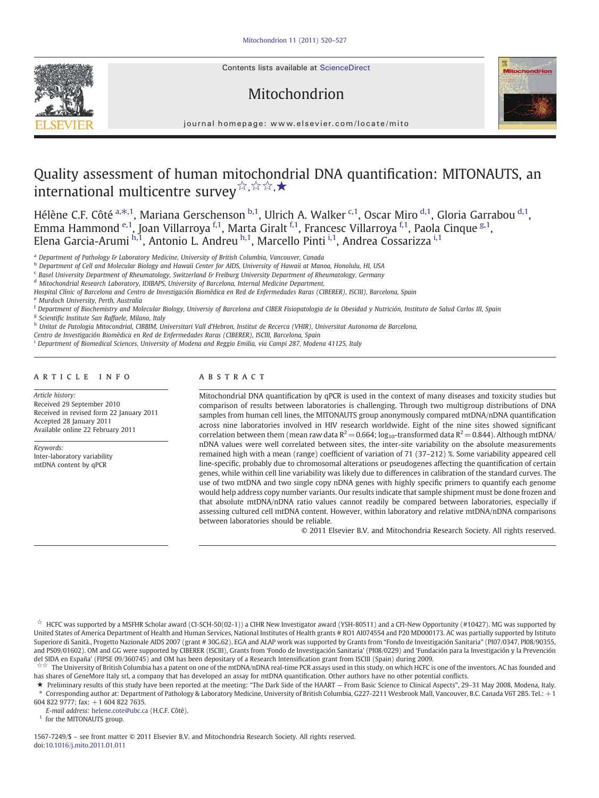Contents lists available at ScienceDirect





journal homepage: www.elsevier.com/locate/mito

# Quality assessment of human mitochondrial DNA quantification: MITONAUTS, an international multicentre survey☆, ☆☆,★

Hélène C.F. Côté <sup>a, $\ast$ ,1, Mariana Gerschenson <sup>b,1</sup>, Ulrich A. Walker <sup>c,1</sup>, Oscar Miro <sup>d,1</sup>, Gloria Garrabou <sup>d,1</sup>,</sup> Emma Hammond <sup>e,1</sup>, Joan Villarroya <sup>f,1</sup>, Marta Giralt <sup>f,1</sup>, Francesc Villarroya <sup>f,1</sup>, Paola Cinque <sup>g,1</sup>, Elena Garcia-Arumi <sup>h, i</sup>, Antonio L. Andreu <sup>h, i</sup>, Marcello Pinti <sup>i, i</sup>, Andrea Cossarizza <sup>i, i</sup>

<sup>a</sup> Department of Pathology & Laboratory Medicine, University of British Columbia, Vancouver, Canada

<sup>b</sup> Department of Cell and Molecular Biology and Hawaii Center for AIDS, University of Hawaii at Manoa, Honolulu, HI, USA

<sup>c</sup> Basel University Department of Rheumatology, Switzerland & Freiburg University Department of Rheumatology, Germany

<sup>d</sup> Mitochondrial Research Laboratory, IDIBAPS, University of Barcelona, Internal Medicine Department,

Hospital Clínic of Barcelona and Centro de Investigación Biomédica en Red de Enfermedades Raras (CIBERER), ISCIII), Barcelona, Spain

<sup>e</sup> Murdoch University, Perth, Australia

<sup>f</sup> Department of Biochemistry and Molecular Biology, Universiy of Barcelona and CIBER Fisiopatologia de la Obesidad y Nutrición, Instituto de Salud Carlos III, Spain

<sup>g</sup> Scientific Institute San Raffaele, Milano, Italy

h Unitat de Patologia Mitocondrial, CIBBIM, Universitari Vall d'Hebron, Institut de Recerca (VHIR), Universitat Autonoma de Barcelona,

Centro de Investigación Biomédica en Red de Enfermedades Raras (CIBERER), ISCIII, Barcelona, Spain

<sup>i</sup> Department of Biomedical Sciences, University of Modena and Reggio Emilia, via Campi 287, Modena 41125, Italy

#### ARTICLE INFO ABSTRACT

Article history: Received 29 September 2010 Received in revised form 22 January 2011 Accepted 28 January 2011 Available online 22 February 2011

Keywords: Inter-laboratory variability mtDNA content by qPCR

Mitochondrial DNA quantification by qPCR is used in the context of many diseases and toxicity studies but comparison of results between laboratories is challenging. Through two multigroup distributions of DNA samples from human cell lines, the MITONAUTS group anonymously compared mtDNA/nDNA quantification across nine laboratories involved in HIV research worldwide. Eight of the nine sites showed significant correlation between them (mean raw data  $R^2$  = 0.664; log<sub>10</sub>-transformed data  $R^2$  = 0.844). Although mtDNA/ nDNA values were well correlated between sites, the inter-site variability on the absolute measurements remained high with a mean (range) coefficient of variation of 71 (37–212) %. Some variability appeared cell line-specific, probably due to chromosomal alterations or pseudogenes affecting the quantification of certain genes, while within cell line variability was likely due to differences in calibration of the standard curves. The use of two mtDNA and two single copy nDNA genes with highly specific primers to quantify each genome would help address copy number variants. Our results indicate that sample shipment must be done frozen and that absolute mtDNA/nDNA ratio values cannot readily be compared between laboratories, especially if assessing cultured cell mtDNA content. However, within laboratory and relative mtDNA/nDNA comparisons between laboratories should be reliable.

© 2011 Elsevier B.V. and Mitochondria Research Society. All rights reserved.

☆ HCFC was supported by a MSFHR Scholar award (CI-SCH-50(02-1)) a CIHR New Investigator award (YSH-80511) and a CFI-New Opportunity (#10427). MG was supported by United States of America Department of Health and Human Services, National Institutes of Health grants # RO1 AI074554 and P20 MD000173. AC was partially supported by Istituto Superiore di Sanità., Progetto Nazionale AIDS 2007 (grant # 30G.62). EGA and ALAP work was supported by Grants from "Fondo de Investigación Sanitaria" (PI07/0347, PI08/90355, and PS09/01602). OM and GG were supported by CIBERER (ISCIII), Grants from 'Fondo de Investigación Sanitaria' (PI08/0229) and 'Fundación para la Investigación y la Prevención del SIDA en España' (FIPSE 09/360745) and OM has been depositary of a Research Intensification grant from ISCIII (Spain) during 2009.

☆☆ The University of British Columbia has a patent on one of the mtDNA/nDNA real-time PCR assays used in this study, on which HCFC is one of the inventors. AC has founded and has shares of GeneMore Italy srl, a company that has developed an assay for mtDNA quantification. Other authors have no other potential conflicts.

★ Preliminary results of this study have been reported at the meeting: "The Dark Side of the HAART — From Basic Science to Clinical Aspects", 29–31 May 2008, Modena, Italy. ⁎ Corresponding author at: Department of Pathology & Laboratory Medicine, University of British Columbia, G227-2211 Wesbrook Mall, Vancouver, B.C. Canada V6T 2B5. Tel.: +1

604 822 9777; fax: +1 604 822 7635. E-mail address: [helene.cote@ubc.ca](mailto:helene.cote@ubc.ca) (H.C.F. Côté).

 $^{\rm 1}$  for the MITONAUTS group.

1567-7249/\$ – see front matter © 2011 Elsevier B.V. and Mitochondria Research Society. All rights reserved. doi[:10.1016/j.mito.2011.01.011](http://dx.doi.org/10.1016/j.mito.2011.01.011)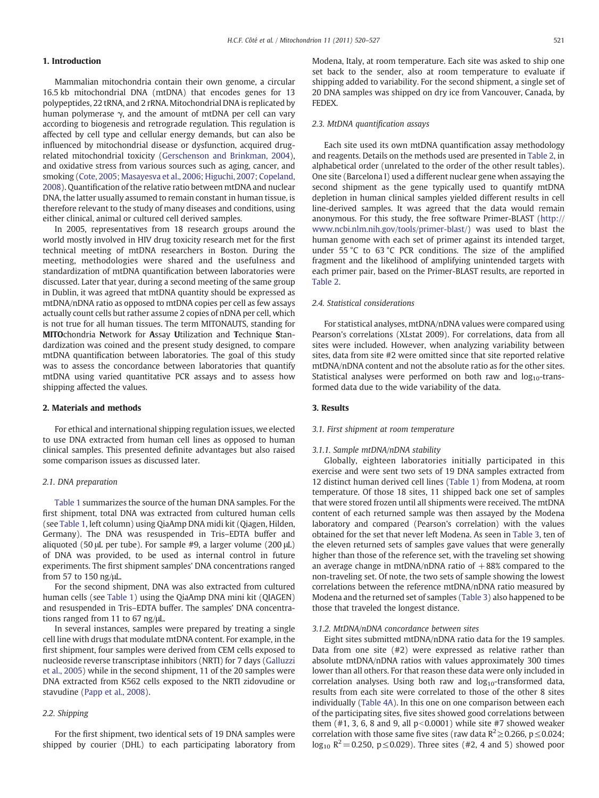### 1. Introduction

Mammalian mitochondria contain their own genome, a circular 16.5 kb mitochondrial DNA (mtDNA) that encodes genes for 13 polypeptides, 22 tRNA, and 2 rRNA. Mitochondrial DNA is replicated by human polymerase γ, and the amount of mtDNA per cell can vary according to biogenesis and retrograde regulation. This regulation is affected by cell type and cellular energy demands, but can also be influenced by mitochondrial disease or dysfunction, acquired drugrelated mitochondrial toxicity [\(Gerschenson and Brinkman, 2004](#page-6-0)), and oxidative stress from various sources such as aging, cancer, and smoking ([Cote, 2005; Masayesva et al., 2006; Higuchi, 2007; Copeland,](#page-6-0) [2008\)](#page-6-0). Quantification of the relative ratio between mtDNA and nuclear DNA, the latter usually assumed to remain constant in human tissue, is therefore relevant to the study of many diseases and conditions, using either clinical, animal or cultured cell derived samples.

In 2005, representatives from 18 research groups around the world mostly involved in HIV drug toxicity research met for the first technical meeting of mtDNA researchers in Boston. During the meeting, methodologies were shared and the usefulness and standardization of mtDNA quantification between laboratories were discussed. Later that year, during a second meeting of the same group in Dublin, it was agreed that mtDNA quantity should be expressed as mtDNA/nDNA ratio as opposed to mtDNA copies per cell as few assays actually count cells but rather assume 2 copies of nDNA per cell, which is not true for all human tissues. The term MITONAUTS, standing for MITOchondria Network for Assay Utilization and Technique Standardization was coined and the present study designed, to compare mtDNA quantification between laboratories. The goal of this study was to assess the concordance between laboratories that quantify mtDNA using varied quantitative PCR assays and to assess how shipping affected the values.

#### 2. Materials and methods

For ethical and international shipping regulation issues, we elected to use DNA extracted from human cell lines as opposed to human clinical samples. This presented definite advantages but also raised some comparison issues as discussed later.

#### 2.1. DNA preparation

[Table 1](#page-2-0) summarizes the source of the human DNA samples. For the first shipment, total DNA was extracted from cultured human cells (see [Table 1](#page-2-0), left column) using QiaAmp DNA midi kit (Qiagen, Hilden, Germany). The DNA was resuspended in Tris–EDTA buffer and aliquoted (50 μL per tube). For sample #9, a larger volume (200 μL) of DNA was provided, to be used as internal control in future experiments. The first shipment samples' DNA concentrations ranged from 57 to 150 ng/μL.

For the second shipment, DNA was also extracted from cultured human cells (see [Table 1](#page-2-0)) using the QiaAmp DNA mini kit (QIAGEN) and resuspended in Tris–EDTA buffer. The samples' DNA concentrations ranged from 11 to 67 ng/μL.

In several instances, samples were prepared by treating a single cell line with drugs that modulate mtDNA content. For example, in the first shipment, four samples were derived from CEM cells exposed to nucleoside reverse transcriptase inhibitors (NRTI) for 7 days ([Galluzzi](#page-6-0) [et al., 2005\)](#page-6-0) while in the second shipment, 11 of the 20 samples were DNA extracted from K562 cells exposed to the NRTI zidovudine or stavudine ([Papp et al., 2008](#page-7-0)).

#### 2.2. Shipping

For the first shipment, two identical sets of 19 DNA samples were shipped by courier (DHL) to each participating laboratory from Modena, Italy, at room temperature. Each site was asked to ship one set back to the sender, also at room temperature to evaluate if shipping added to variability. For the second shipment, a single set of 20 DNA samples was shipped on dry ice from Vancouver, Canada, by FEDEX.

#### 2.3. MtDNA quantification assays

Each site used its own mtDNA quantification assay methodology and reagents. Details on the methods used are presented in [Table 2,](#page-3-0) in alphabetical order (unrelated to the order of the other result tables). One site (Barcelona I) used a different nuclear gene when assaying the second shipment as the gene typically used to quantify mtDNA depletion in human clinical samples yielded different results in cell line-derived samples. It was agreed that the data would remain anonymous. For this study, the free software Primer-BLAST ([http://](http://www.ncbi.nlm.nih.gov/tools/primer-blast/) [www.ncbi.nlm.nih.gov/tools/primer-blast/\)](http://www.ncbi.nlm.nih.gov/tools/primer-blast/) was used to blast the human genome with each set of primer against its intended target, under 55 °C to 63 °C PCR conditions. The size of the amplified fragment and the likelihood of amplifying unintended targets with each primer pair, based on the Primer-BLAST results, are reported in [Table 2.](#page-3-0)

#### 2.4. Statistical considerations

For statistical analyses, mtDNA/nDNA values were compared using Pearson's correlations (XLstat 2009). For correlations, data from all sites were included. However, when analyzing variability between sites, data from site #2 were omitted since that site reported relative mtDNA/nDNA content and not the absolute ratio as for the other sites. Statistical analyses were performed on both raw and  $log_{10}$ -transformed data due to the wide variability of the data.

#### 3. Results

#### 3.1. First shipment at room temperature

#### 3.1.1. Sample mtDNA/nDNA stability

Globally, eighteen laboratories initially participated in this exercise and were sent two sets of 19 DNA samples extracted from 12 distinct human derived cell lines [\(Table 1](#page-2-0)) from Modena, at room temperature. Of those 18 sites, 11 shipped back one set of samples that were stored frozen until all shipments were received. The mtDNA content of each returned sample was then assayed by the Modena laboratory and compared (Pearson's correlation) with the values obtained for the set that never left Modena. As seen in [Table 3](#page-4-0), ten of the eleven returned sets of samples gave values that were generally higher than those of the reference set, with the traveling set showing an average change in mtDNA/nDNA ratio of  $+88%$  compared to the non-traveling set. Of note, the two sets of sample showing the lowest correlations between the reference mtDNA/nDNA ratio measured by Modena and the returned set of samples [\(Table 3](#page-4-0)) also happened to be those that traveled the longest distance.

#### 3.1.2. MtDNA/nDNA concordance between sites

Eight sites submitted mtDNA/nDNA ratio data for the 19 samples. Data from one site (#2) were expressed as relative rather than absolute mtDNA/nDNA ratios with values approximately 300 times lower than all others. For that reason these data were only included in correlation analyses. Using both raw and  $log_{10}$ -transformed data, results from each site were correlated to those of the other 8 sites individually [\(Table 4A\)](#page-4-0). In this one on one comparison between each of the participating sites, five sites showed good correlations between them  $(\#1, 3, 6, 8, \#1, 9, \text{all } p < 0.0001)$  while site  $\#7$  showed weaker correlation with those same five sites (raw data  $R^2 \ge 0.266$ , p  $\le 0.024$ ; log<sub>10</sub> R<sup>2</sup> = 0.250, p ≤ 0.029). Three sites (#2, 4 and 5) showed poor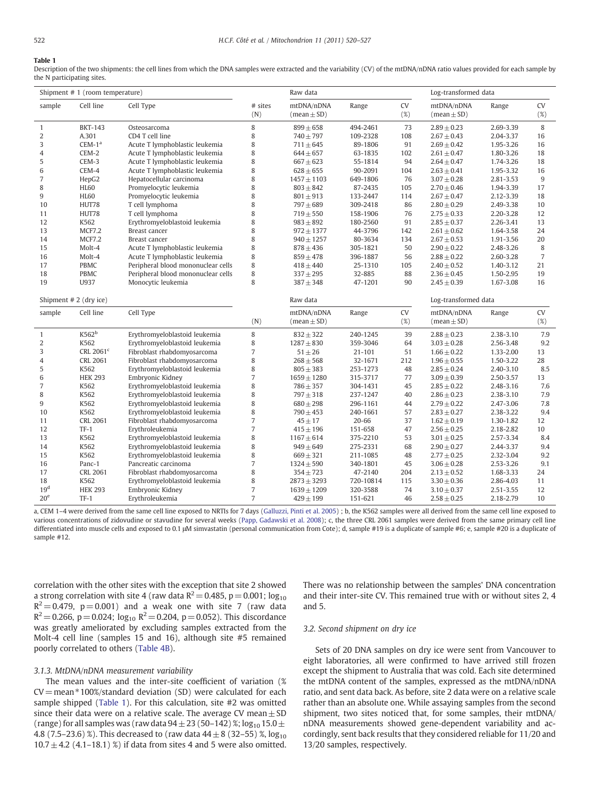#### <span id="page-2-0"></span>Table 1

Description of the two shipments: the cell lines from which the DNA samples were extracted and the variability (CV) of the mtDNA/nDNA ratio values provided for each sample by the N participating sites.

|                 | Shipment # 1 (room temperature) |                                    |                | Raw data                      |           |              | Log-transformed data                        |                      |                  |
|-----------------|---------------------------------|------------------------------------|----------------|-------------------------------|-----------|--------------|---------------------------------------------|----------------------|------------------|
| sample          | Cell line                       | Cell Type                          | # sites<br>(N) | mtDNA/nDNA<br>$(mean \pm SD)$ | Range     | CV<br>$(\%)$ | mtDNA/nDNA<br>$(\text{mean} \pm \text{SD})$ | Range                | <b>CV</b><br>(%) |
| $\mathbf{1}$    | <b>BKT-143</b>                  | Osteosarcoma                       | 8              | $899 \pm 658$                 | 494-2461  | 73           | $2.89 \pm 0.23$                             | 2.69-3.39            | 8                |
| 2               | A.301                           | CD4 T cell line                    | 8              | $740 + 797$                   | 109-2328  | 108          | $2.67 \pm 0.43$                             | 2.04-3.37            | 16               |
| 3               | $CEM-1a$                        | Acute T lymphoblastic leukemia     | 8              | $711 \pm 645$                 | 89-1806   | 91           | $2.69 \pm 0.42$                             | 1.95-3.26            | 16               |
| 4               | CEM-2                           | Acute T lymphoblastic leukemia     | 8              | $644 \pm 657$                 | 63-1835   | 102          | $2.61 \pm 0.47$                             | 1.80-3.26            | 18               |
| 5               | CEM-3                           | Acute T lymphoblastic leukemia     | 8              | $667 \pm 623$                 | 55-1814   | 94           | $2.64 \pm 0.47$                             | 1.74-3.26            | 18               |
| 6               | CEM-4                           | Acute T lymphoblastic leukemia     | 8              | $628 \pm 655$                 | 90-2091   | 104          | $2.63 \pm 0.41$                             | 1.95-3.32            | 16               |
| $\overline{7}$  | HepG2                           | Hepatocellular carcinoma           | 8              | $1457 \pm 1103$               | 649-1806  | 76           | $3.07 \pm 0.28$                             | 2.81-3.53            | $9\,$            |
| 8               | <b>HL60</b>                     | Promyelocytic leukemia             | 8              | $803 \pm 842$                 | 87-2435   | 105          | $2.70 \pm 0.46$                             | 1.94-3.39            | 17               |
| 9               | <b>HL60</b>                     | Promyelocytic leukemia             | 8              | $801 \pm 913$                 | 133-2447  | 114          | $2.67 \pm 0.47$                             | 2.12-3.39            | 18               |
| 10              | HUT78                           | T cell lymphoma                    | 8              | $797 \pm 689$                 | 309-2418  | 86           | $2.80 \pm 0.29$                             | 2.49-3.38            | 10               |
| 11              | HUT78                           | T cell lymphoma                    | 8              | $719 \pm 550$                 | 158-1906  | 76           | $2.75 \pm 0.33$                             | 2.20-3.28            | 12               |
| 12              | K562                            | Erythromyeloblastoid leukemia      | 8              | $983 \pm 892$                 | 180-2560  | 91           | $2.85 \pm 0.37$                             | 2.26-3.41            | 13               |
| 13              | <b>MCF7.2</b>                   | Breast cancer                      | 8              | $972 \pm 1377$                | 44-3796   | 142          | $2.61 \pm 0.62$                             | 1.64-3.58            | 24               |
| 14              | <b>MCF7.2</b>                   | Breast cancer                      | 8              | $940 \pm 1257$                | 80-3634   | 134          | $2.67 \pm 0.53$                             | 1.91-3.56            | 20               |
| 15              | Molt-4                          | Acute T lymphoblastic leukemia     | 8              | $878 \pm 436$                 | 305-1821  | 50           | $2.90 \pm 0.22$                             | 2.48-3.26            | 8                |
| 16              | Molt-4                          | Acute T lymphoblastic leukemia     | 8              | $859 \pm 478$                 | 396-1887  | 56           | $2.88 \pm 0.22$                             | 2.60-3.28            | $\overline{7}$   |
| 17              | <b>PBMC</b>                     | Peripheral blood mononuclear cells | 8              | $418 \pm 440$                 | 25-1310   | 105          | $2.40 \pm 0.52$                             | 1.40-3.12            | 21               |
| 18              | PBMC                            | Peripheral blood mononuclear cells | 8              | $337 + 295$                   | 32-885    | 88           | $2.36 \pm 0.45$                             | 1.50-2.95            | 19               |
| 19              | U937                            | Monocytic leukemia                 | 8              | $387 + 348$                   | 47-1201   | 90           | $2.45 \pm 0.39$                             | 1.67-3.08            | 16               |
|                 | Shipment $# 2$ (dry ice)        |                                    |                | Raw data                      |           |              |                                             | Log-transformed data |                  |
| sample          | Cell line                       | Cell Type                          | (N)            | mtDNA/nDNA<br>$(mean \pm SD)$ | Range     | CV<br>(%)    | mtDNA/nDNA<br>$(mean \pm SD)$               | Range                | CV<br>(%)        |
| $\mathbf{1}$    | K562 <sup>b</sup>               | Erythromyeloblastoid leukemia      | 8              | $832 \pm 322$                 | 240-1245  | 39           | $2.88 \pm 0.23$                             | 2.38-3.10            | 7.9              |
| 2               | K562                            | Erythromyeloblastoid leukemia      | 8              | $1287 + 830$                  | 359-3046  | 64           | $3.03 \pm 0.28$                             | 2.56-3.48            | 9.2              |
| 3               | CRL 2061 <sup>c</sup>           | Fibroblast rhabdomyosarcoma        | $\overline{7}$ | $51 \pm 26$                   | 21-101    | 51           | $1.66 \pm 0.22$                             | 1.33-2.00            | 13               |
| 4               | <b>CRL 2061</b>                 | Fibroblast rhabdomyosarcoma        | 8              | $268 \pm 568$                 | 32-1671   | 212          | $1.96 \pm 0.55$                             | 1.50-3.22            | 28               |
| 5               | K562                            | Erythromyeloblastoid leukemia      | 8              | $805 \pm 383$                 | 253-1273  | 48           | $2.85 \pm 0.24$                             | 2.40-3.10            | 8.5              |
| 6               | <b>HEK 293</b>                  | Embryonic Kidney                   | $\overline{7}$ | $1659 \pm 1280$               | 315-3717  | 77           | $3.09 \pm 0.39$                             | 2.50-3.57            | 13               |
| 7               | K562                            | Erythromyeloblastoid leukemia      | 8              | $786 + 357$                   | 304-1431  | 45           | $2.85 \pm 0.22$                             | 2.48-3.16            | 7.6              |
| 8               | K562                            | Erythromyeloblastoid leukemia      | 8              | $797 + 318$                   | 237-1247  | 40           | $2.86 \pm 0.23$                             | 2.38-3.10            | 7.9              |
| 9               | K562                            | Erythromyeloblastoid leukemia      | 8              | $680 \pm 298$                 | 296-1161  | 44           | $2.79 \pm 0.22$                             | 2.47-3.06            | 7.8              |
| 10              | K562                            | Erythromyeloblastoid leukemia      | 8              | $790 \pm 453$                 | 240-1661  | 57           | $2.83 \pm 0.27$                             | 2.38-3.22            | 9.4              |
| 11              | <b>CRL 2061</b>                 | Fibroblast rhabdomyosarcoma        | $\overline{7}$ | $45 + 17$                     | 20-66     | 37           | $1.62 \pm 0.19$                             | 1.30-1.82            | 12               |
| 12              | $TF-1$                          | Erythroleukemia                    | $\overline{7}$ | $415 \pm 196$                 | 151-658   | 47           | $2.56 \pm 0.25$                             | 2.18-2.82            | 10               |
| 13              | K562                            | Erythromyeloblastoid leukemia      | 8              | $1167 \pm 614$                | 375-2210  | 53           | $3.01 \pm 0.25$                             | 2.57-3.34            | 8.4              |
| 14              | K562                            | Erythromyeloblastoid leukemia      | 8              | $949 \pm 649$                 | 275-2331  | 68           | $2.90 \pm 0.27$                             | 2.44-3.37            | 9.4              |
| 15              | K562                            | Erythromyeloblastoid leukemia      | 8              | $669 \pm 321$                 | 211-1085  | 48           | $2.77 \pm 0.25$                             | 2.32-3.04            | 9.2              |
| 16              | Panc-1                          | Pancreatic carcinoma               | $\overline{7}$ | $1324 \pm 590$                | 340-1801  | 45           | $3.06 \pm 0.28$                             | 2.53-3.26            | 9.1              |
| 17              | <b>CRL 2061</b>                 | Fibroblast rhabdomyosarcoma        | 8              | $354 \pm 723$                 | 47-2140   | 204          | $2.13 \pm 0.52$                             | 1.68-3.33            | 24               |
| 18              | K562                            | Erythromyeloblastoid leukemia      | 8              | $2873 \pm 3293$               | 720-10814 | 115          | $3.30 \pm 0.36$                             | 2.86-4.03            | 11               |
| 19 <sup>d</sup> | <b>HEK 293</b>                  | Embryonic Kidney                   | $\overline{7}$ | $1639 \pm 1209$               | 320-3588  | 74           | $3.10 \pm 0.37$                             | 2.51-3.55            | 12               |
| 20 <sup>e</sup> | $TF-1$                          | Erythroleukemia                    | $\overline{7}$ | $429 \pm 199$                 | 151-621   | 46           | $2.58 \pm 0.25$                             | 2.18-2.79            | 10               |

a, CEM 1–4 were derived from the same cell line exposed to NRTIs for 7 days [\(Galluzzi, Pinti et al. 2005](#page-6-0)) ; b, the K562 samples were all derived from the same cell line exposed to various concentrations of zidovudine or stavudine for several weeks [\(Papp, Gadawski et al. 2008\)](#page-7-0); c, the three CRL 2061 samples were derived from the same primary cell line differentiated into muscle cells and exposed to 0.1 μM simvastatin (personal communication from Cote); d, sample #19 is a duplicate of sample #6; e, sample #20 is a duplicate of sample #12.

correlation with the other sites with the exception that site 2 showed a strong correlation with site 4 (raw data  $R^2$  = 0.485, p = 0.001; log<sub>10</sub>  $R^2$  = 0.479, p = 0.001) and a weak one with site 7 (raw data  $R^2$  = 0.266, p = 0.024; log<sub>10</sub>  $R^2$  = 0.204, p = 0.052). This discordance was greatly ameliorated by excluding samples extracted from the Molt-4 cell line (samples 15 and 16), although site #5 remained poorly correlated to others ([Table 4B\)](#page-4-0).

#### 3.1.3. MtDNA/nDNA measurement variability

The mean values and the inter-site coefficient of variation (%  $CV = mean * 100%$ /standard deviation (SD) were calculated for each sample shipped (Table 1). For this calculation, site #2 was omitted since their data were on a relative scale. The average CV mean $\pm$  SD (range) for all samples was (raw data  $94 \pm 23$  (50–142) %;  $\log_{10} 15.0 \pm 10^{11}$ 4.8 (7.5–23.6) %). This decreased to (raw data  $44 \pm 8$  (32–55) %,  $log_{10}$  $10.7 \pm 4.2$  (4.1–18.1) %) if data from sites 4 and 5 were also omitted. There was no relationship between the samples' DNA concentration and their inter-site CV. This remained true with or without sites 2, 4 and 5.

#### 3.2. Second shipment on dry ice

Sets of 20 DNA samples on dry ice were sent from Vancouver to eight laboratories, all were confirmed to have arrived still frozen except the shipment to Australia that was cold. Each site determined the mtDNA content of the samples, expressed as the mtDNA/nDNA ratio, and sent data back. As before, site 2 data were on a relative scale rather than an absolute one. While assaying samples from the second shipment, two sites noticed that, for some samples, their mtDNA/ nDNA measurements showed gene-dependent variability and accordingly, sent back results that they considered reliable for 11/20 and 13/20 samples, respectively.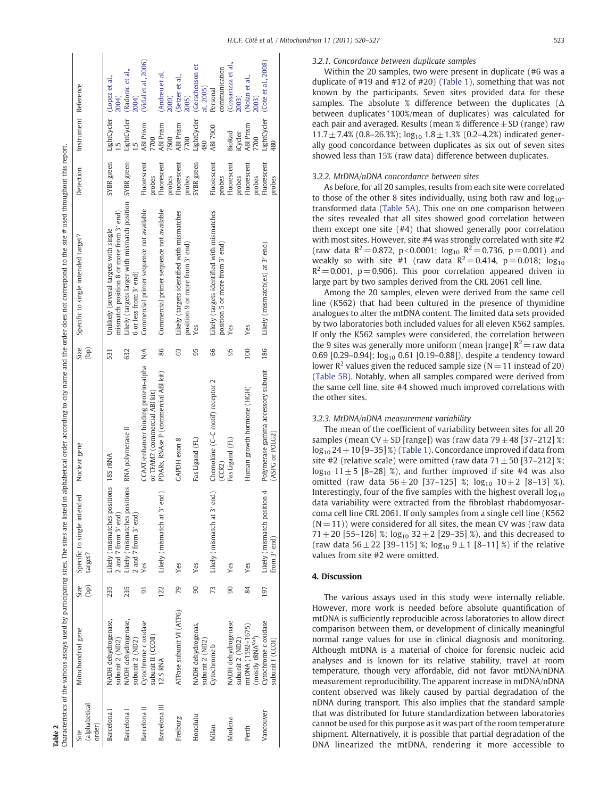<span id="page-3-0"></span>[2004](#page-7-0))<br>(Vidal et al., 2006) ([Vidal](#page-7-0) et al., 2006) (Cote et al., [2008](#page-6-0)) (Cote et al., 2008) (Cossarizza et al. ([Cossarizza](#page-6-0) et al., [2005](#page-7-0))<br>(Gerschenson et ([Gerschenson](#page-6-0) et communication (Radonic et al., communication ([Radonic](#page-7-0) et al., (Andreu et al., ([Andreu](#page-6-0) et al., (Lopez et al., (Setzer et al., ([Setzer](#page-7-0) et al., [2003](#page-6-0))<br>(Nolan et al., ([Lopez](#page-7-0) et al., ([Nolan](#page-7-0) et al., Instrument Reference Specific to single intended target? Detection Instrument Reference al., [2005](#page-6-0)) Personal ABI 7900 Personal [2009](#page-6-0)) [2003](#page-7-0)) [2004](#page-7-0)) LightCycler<br>480 LightCycler LightCycler LightCycler SYBR green LightCycler SYBR green LightCycler ABI Prism ABI Prism ABI Prism 90 Yes Fas Ligand (FL) 95 Yes SYBR green LightCycler LightCycler ABI Prism ABI 7900 iCycler BioRad 7700 7700 7500 7700 480 Characteristics of the various assays used by participating sites. The sites are listed in alphabetical order according to city name and the order does not correspond to the site # used throughout this report. 1.5 1.5 s not correspond to the site # used throughout this report. probes<br>SYBR green Fluorescent SYBR green SYBR green Fluorescent Fluorescent Fluorescent Fluorescent Fluorescent Fluorescent N/A Commercial primer sequence not available Fluorescent Barcelona III 12 S RNA 122 Likely (mismatch at 3′ end) PDARs, RNAse P (commercial ABI kit) 86 Commercial primer sequence not available Fluorescent Fluorescent Fluorescent 90 Yes Fas Ligand (FL) 95 Yes Fluorescent 84 Yes Human growth hormone (HGH) 100 Yes Fluorescent 186 Likely (mismatch(es) at 3' end) Fluorescent Detection probes probes probes probes probes probes Likely (targets larger with mismatch position RNA polymerase II 632 Likely (targets larger with mismatch position Commercial primer sequence not available Commercial primer sequence not available mismatch position 8 or more from 3' end) Likely (targets identified with mismatches Likely (targets identified with mismatches mismatch position 8 or more from 3′ end) Freiburg ATPase subunit VI (ATP6) 79 Yes GAPDH exon 8 63 Likely (targets identified with mismatches 66 Likely (targets identified with mismatches Unlikely (several targets with single 18S rRNA 531 Unlikely (several targets with single Specific to single intended target? position 5 or more from 3' end) position 9 or more from 3' end) position 9 or more from 3′ end) position 5 or more from 3′ end) Likely (mismatch(es) at 3' end) 6 or less from 3' end) 6 or less from 3′ end) Characteristics of the various assays used by participating sites. The sites are listed in alphabetical order according to city name and the order doe les Yes Yes (bp)  $N/A$ 66 186 632 86 63 95 95 100 Nuclear gene 531 CCAAT/enhancer binding protein-alpha 91 Yes CCAAT/enhancer binding protein-alpha Polymerase gamma accessory subunit PDARs, RNAse P (commercial ABI kit) Polymerase gamma accessory subunit Chemokine (C-C motif) receptor 2 Milan Cytochrome b 73 Likely (mismatch at 3′ end) Chemokine (C–C motif) receptor 2 Human growth hormone (HGH) or TFAM? (commercial ABI kit) or TFAM? (commercial ABI kit) RNA polymerase II ASPG or POLG2) (ASPG or POLG2) **CAPDH** exon 8 Fas Ligand (FL) Fas Ligand (FL) Nuclear gene 18S rRNA (CCR2) Likely (mismatches positions (mismatches positions 235 Likely (mismatches positions 235 Likely (mismatches positions Likely (mismatch position 4 Likely (mismatch at 3' end) Likely (mismatch at 3' end) Specific to single intended<br>target? 197 Likely (mismatch position 4 Specific to single intended 2 and 7 from  $3'$  end) 2 and 7 from  $3'$  end) 2 and 7 from 3′ end) 2 and 7 from 3′ end) from  $3'$  end) from 3′ end) Likely ( Yes Yes Yes Yes Yes (bp)  $122$ 79  $\mathcal{S}$  $73$  $90$ 84 Mitochondrial gene Size 235 235  $\overline{5}$ 197 ATPase subunit VI (ATP6) NADH dehydrogenase, Cytochrome c oxidase NADH dehydrogenase, Barcelona I NADH dehydrogenase, Barcelona I NADH dehydrogenase, NADH dehydrogenase Cytochrome c oxidase Barcelona II Cytochrome c oxidase Modena NADH dehydrogenase Vancouver Cytochrome c oxidase NADH dehydrogenas, mtDNA (1592-1675) Honolulu NADH dehydrogenas, Perth mtDNA (1592–1675) Mitochondrial gene subunit II (CCOII) (mostly tRNA<sup>Val</sup>) subunit II (CCOII) subunit 2 (ND2) subunit 2 (ND2) subunit 2 (ND2) subunit 2 (ND2) (mostly tRNAVal) subunit 2 (ND2) subunit 2 (ND2) subunit 2 (ND2) subunit 2 (ND2) subunit I (CCOI) subunit I (CCOI) Cytochrome b 12 S RNA (alphabetical (alphabetical Barcelona III Barcelona II Barcelona I Barcelona<sub>I</sub> Vancouver Honolulu Freiburg Modena order) Milan Perth Site

Table 2

### 3.2.1. Concordance between duplicate samples

Within the 20 samples, two were present in duplicate (#6 was a duplicate of #19 and #12 of #20) ([Table 1](#page-2-0)), something that was not known by the participants. Seven sites provided data for these samples. The absolute % difference between the duplicates (Δ between duplicates\*100%/mean of duplicates) was calculated for each pair and averaged. Results (mean % difference  $\pm$  SD (range) raw  $11.7 \pm 7.4\%$  (0.8–26.3%);  $log_{10} 1.8 \pm 1.3\%$  (0.2–4.2%) indicated generally good concordance between duplicates as six out of seven sites showed less than 15% (raw data) difference between duplicates.

#### 3.2.2. MtDNA/nDNA concordance between sites

As before, for all 20 samples, results from each site were correlated to those of the other 8 sites individually, using both raw and  $log_{10}$ transformed data ([Table 5A\)](#page-5-0). This one on one comparison between the sites revealed that all sites showed good correlation between them except one site (#4) that showed generally poor correlation with most sites. However, site #4 was strongly correlated with site #2 (raw data  $R^2 = 0.872$ , p<0.0001;  $log_{10} R^2 = 0.736$ , p= 0.001) and weakly so with site #1 (raw data  $R^2 = 0.414$ , p= 0.018; log<sub>10</sub>  $R^2$  = 0.001, p = 0.906). This poor correlation appeared driven in large part by two samples derived from the CRL 2061 cell line.

Among the 20 samples, eleven were derived from the same cell line (K562) that had been cultured in the presence of thymidine analogues to alter the mtDNA content. The limited data sets provided by two laboratories both included values for all eleven K562 samples. If only the K562 samples were considered, the correlation between the 9 sites was generally more uniform (mean [range]  $R^2$  = raw data 0.69 [0.29-0.94];  $log_{10}$  0.61 [0.19-0.88]), despite a tendency toward lower  $\mathbb{R}^2$  values given the reduced sample size (N = 11 instead of 20) [\(Table 5B\)](#page-5-0). Notably, when all samples compared were derived from the same cell line, site #4 showed much improved correlations with the other sites.

#### 3.2.3. MtDNA/nDNA measurement variability

The mean of the coefficient of variability between sites for all 20 samples (mean CV $\pm$  SD [range]) was (raw data 79 $\pm$  48 [37–212] %;  $log_{10} 24 \pm 10$  [9–35] %) ([Table 1\)](#page-2-0). Concordance improved if data from site #2 (relative scale) were omitted (raw data  $71 \pm 50$  [37–212] %;  $log_{10}$  11 $\pm$  5 [8–28] %), and further improved if site #4 was also omitted (raw data  $56 \pm 20$  [37-125] %;  $log_{10} 10 \pm 2$  [8-13] %). Interestingly, four of the five samples with the highest overall  $log_{10}$ data variability were extracted from the fibroblast rhabdomyosarcoma cell line CRL 2061. If only samples from a single cell line (K562  $(N= 11)$ ) were considered for all sites, the mean CV was (raw data 71  $\pm$  20 [55–126] %; log<sub>10</sub> 32  $\pm$  2 [29–35] %), and this decreased to (raw data  $56 \pm 22$  [39-115] %;  $\log_{10} 9 \pm 1$  [8-11] %) if the relative values from site #2 were omitted.

#### 4. Discussion

The various assays used in this study were internally reliable. However, more work is needed before absolute quantification of mtDNA is sufficiently reproducible across laboratories to allow direct comparison between them, or development of clinically meaningful normal range values for use in clinical diagnosis and monitoring. Although mtDNA is a material of choice for forensic nucleic acid analyses and is known for its relative stability, travel at room temperature, though very affordable, did not favor mtDNA/nDNA measurement reproducibility. The apparent increase in mtDNA/nDNA content observed was likely caused by partial degradation of the nDNA during transport. This also implies that the standard sample that was distributed for future standardization between laboratories cannot be used for this purpose as it was part of the room temperature shipment. Alternatively, it is possible that partial degradation of the DNA linearized the mtDNA, rendering it more accessible to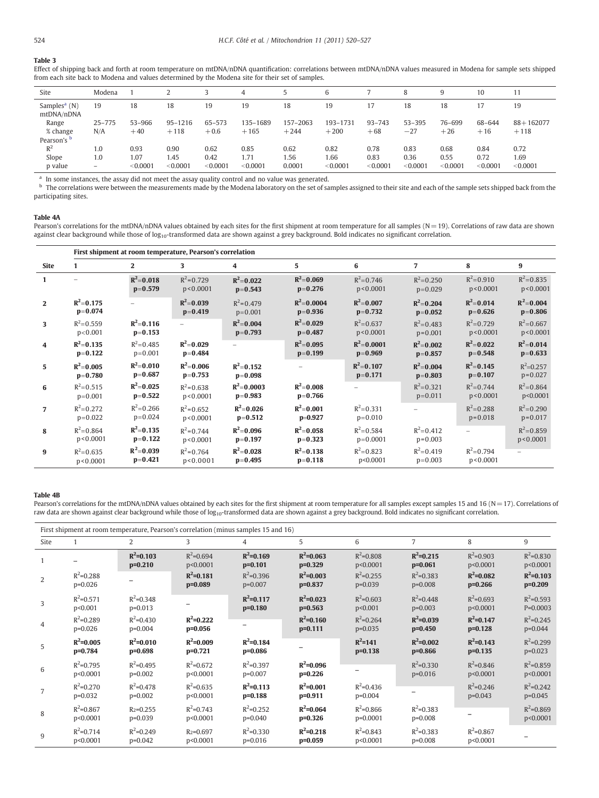## <span id="page-4-0"></span>Table 3

|                                          | -from each site back to Modena and values determined by the Modena site for their set of samples. |          |             |          |          |          |          |            |            |          |          |               |
|------------------------------------------|---------------------------------------------------------------------------------------------------|----------|-------------|----------|----------|----------|----------|------------|------------|----------|----------|---------------|
| Site                                     | Modena                                                                                            |          |             |          | 4        |          | 6        |            | 8          | 9        | 10       |               |
| Samples <sup>a</sup> $(N)$<br>mtDNA/nDNA | 19                                                                                                | 18       | 18          | 19       | 19       | 18       | 19       | 17         | 18         | 18       |          | 19            |
| Range                                    | $25 - 775$                                                                                        | 53-966   | $95 - 1216$ | 65-573   | 135-1689 | 157-2063 | 193-1731 | $93 - 743$ | $53 - 395$ | 76-699   | 68-644   | $88 + 162077$ |
| % change                                 | N/A                                                                                               | $+40$    | $+118$      | $+0.6$   | $+165$   | $+244$   | $+200$   | $+68$      | $-27$      | $+26$    | $+16$    | $+118$        |
| Pearson's <sup>b</sup>                   |                                                                                                   |          |             |          |          |          |          |            |            |          |          |               |
| $R^2$                                    | 1.0                                                                                               | 0.93     | 0.90        | 0.62     | 0.85     | 0.62     | 0.82     | 0.78       | 0.83       | 0.68     | 0.84     | 0.72          |
| Slope                                    | 1.0                                                                                               | 1.07     | 1.45        | 0.42     | 1.71     | 1.56     | 1.66     | 0.83       | 0.36       | 0.55     | 0.72     | 1.69          |
| p value                                  | $-$                                                                                               | < 0.0001 | < 0.0001    | < 0.0001 | < 0.0001 | 0.0001   | < 0.0001 | < 0.0001   | < 0.0001   | < 0.0001 | < 0.0001 | < 0.0001      |

Effect of shipping back and forth at room temperature on mtDNA/nDNA quantification: correlations between mtDNA/nDNA values measured in Modena for sample sets shipped<br>from each site back to Modena and values determined by t .<br>and hy the Mode

<sup>a</sup> In some instances, the assay did not meet the assay quality control and no value was generated.

b The correlations were between the measurements made by the Modena laboratory on the set of samples assigned to their site and each of the sample sets shipped back from the participating sites.

#### Table 4A

Pearson's correlations for the mtDNA/nDNA values obtained by each sites for the first shipment at room temperature for all samples (N= 19). Correlations of raw data are shown against clear background while those of log<sub>10</sub>-transformed data are shown against a grey background. Bold indicates no significant correlation.

|                | First shipment at room temperature, Pearson's correlation |                            |                             |                              |                             |                             |                              |                              |                              |  |  |
|----------------|-----------------------------------------------------------|----------------------------|-----------------------------|------------------------------|-----------------------------|-----------------------------|------------------------------|------------------------------|------------------------------|--|--|
| <b>Site</b>    |                                                           | $\overline{2}$             | 3                           | 4                            | 5                           | 6                           | $\overline{7}$               | 8                            | 9                            |  |  |
| 1              |                                                           | $R^2 = 0.018$<br>$p=0.579$ | $R^2 = 0.729$<br>p < 0.0001 | $R^2 = 0.022$<br>$p = 0.543$ | $R^2 = 0.069$<br>$p=0.276$  | $R^2 = 0.746$<br>p < 0.0001 | $R^2 = 0.250$<br>$p=0.029$   | $R^2 = 0.910$<br>p < 0.0001  | $R^2 = 0.835$<br>p < 0.0001  |  |  |
| $\overline{2}$ | $R^2 = 0.175$<br>$p=0.074$                                |                            | $R^2 = 0.039$<br>$p=0.419$  | $R^2$ =0.479<br>$p=0.001$    | $R^2 = 0.0004$<br>$p=0.936$ | $R^2 = 0.007$<br>$p=0.732$  | $R^2 = 0.204$<br>$p=0.052$   | $R^2 = 0.014$<br>$p=0.626$   | $R^2 = 0.004$<br>$p=0.806$   |  |  |
| 3              | $R^2 = 0.559$<br>p < 0.001                                | $R^2 = 0.116$<br>$p=0.153$ |                             | $R^2 = 0.004$<br>$p=0.793$   | $R^2 = 0.029$<br>$p=0.487$  | $R^2 = 0.637$<br>p < 0.0001 | $R^2 = 0.483$<br>$p = 0.001$ | $R^2 = 0.729$<br>p < 0.0001  | $R^2 = 0.667$<br>p < 0.0001  |  |  |
| 4              | $R^2 = 0.135$<br>$p=0.122$                                | $R^2 = 0.485$<br>$p=0.001$ | $R^2 = 0.029$<br>$p=0.484$  |                              | $R^2 = 0.095$<br>$p=0.199$  | $R^2 = 0.0001$<br>$p=0.969$ | $R^2 = 0.002$<br>$p=0.857$   | $R^2 = 0.022$<br>$p=0.548$   | $R^2 = 0.014$<br>$p=0.633$   |  |  |
| 5              | $R^2 = 0.005$<br>$p=0.780$                                | $R^2 = 0.010$<br>$p=0.687$ | $R^2 = 0.006$<br>$p=0.753$  | $R^2 = 0.152$<br>$p=0.098$   | $\overline{\phantom{m}}$    | $R^2 = 0.107$<br>$p=0.171$  | $R^2 = 0.004$<br>$p=0.803$   | $R^2 = 0.145$<br>$p=0.107$   | $R^2 = 0.257$<br>$p = 0.027$ |  |  |
| 6              | $R^2 = 0.515$<br>$p=0.001$                                | $R^2 = 0.025$<br>$p=0.522$ | $R^2$ =0.638<br>p < 0.0001  | $R^2 = 0.0003$<br>$p=0.983$  | $R^2 = 0.008$<br>$p=0.766$  |                             | $R^2 = 0.321$<br>$p=0.011$   | $R^2 = 0.744$<br>p < 0.0001  | $R^2 = 0.864$<br>p<0.0001    |  |  |
| $\overline{7}$ | $R^2 = 0.272$<br>$p=0.022$                                | $R^2 = 0.266$<br>$p=0.024$ | $R^2$ =0.652<br>p < 0.0001  | $R^2 = 0.026$<br>$p=0.512$   | $R^2 = 0.001$<br>$p=0.927$  | $R^2 = 0.331$<br>$p=0.010$  |                              | $R^2 = 0.288$<br>$p = 0.018$ | $R^2 = 0.290$<br>$p = 0.017$ |  |  |
| 8              | $R^2 = 0.864$<br>p < 0.0001                               | $R^2 = 0.135$<br>$p=0.122$ | $R^2 = 0.744$<br>p < 0.0001 | $R^2 = 0.096$<br>$p=0.197$   | $R^2 = 0.058$<br>$p=0.323$  | $R^2 = 0.584$<br>$p=0.0001$ | $R^2 = 0.412$<br>$p=0.003$   | $\equiv$                     | $R^2 = 0.859$<br>p < 0.0001  |  |  |
| 9              | $R^2 = 0.635$<br>p < 0.0001                               | $R^2 = 0.039$<br>$p=0.421$ | $R^2 = 0.764$<br>p < 0.0001 | $R^2 = 0.028$<br>$p=0.495$   | $R^2 = 0.138$<br>$p=0.118$  | $R^2 = 0.823$<br>p<0.0001   | $R^2 = 0.419$<br>$p=0.003$   | $R^2 = 0.794$<br>p < 0.0001  |                              |  |  |

#### Table 4B

Pearson's correlations for the mtDNA/nDNA values obtained by each sites for the first shipment at room temperature for all samples except samples 15 and 16 (N=17). Correlations of raw data are shown against clear background while those of log<sub>10</sub>-transformed data are shown against a grey background. Bold indicates no significant correlation.

|                | First shipment at room temperature, Pearson's correlation (minus samples 15 and 16) |                            |                            |                            |                            |                            |                            |                            |                             |  |
|----------------|-------------------------------------------------------------------------------------|----------------------------|----------------------------|----------------------------|----------------------------|----------------------------|----------------------------|----------------------------|-----------------------------|--|
| Site           |                                                                                     | 2                          | 3                          | 4                          | 5                          | 6                          | $\overline{7}$             | 8                          | 9                           |  |
|                |                                                                                     | $R^2$ =0.103<br>$p=0.210$  | $R^2 = 0.694$<br>p<0.0001  | $R^2 = 0.169$<br>$p=0.101$ | $R^2 = 0.063$<br>$p=0.329$ | $R^2 = 0.808$<br>p<0.0001  | $R^2 = 0.215$<br>$p=0.061$ | $R^2 = 0.903$<br>p<0.0001  | $R^2 = 0.830$<br>p<0.0001   |  |
| $\overline{2}$ | $R^2 = 0.288$<br>$p=0.026$                                                          |                            | $R^2 = 0.181$<br>$p=0.089$ | $R^2 = 0.396$<br>$p=0.007$ | $R^2$ =0.003<br>$p=0.837$  | $R^2 = 0.255$<br>$p=0.039$ | $R^2 = 0.383$<br>p=0.008   | $R^2 = 0.082$<br>$p=0.266$ | $R^2$ =0.103<br>$p=0.209$   |  |
| 3              | $R^2 = 0.571$<br>p<0.001                                                            | $R^2 = 0.348$<br>$p=0.013$ |                            | $R^2 = 0.117$<br>$p=0.180$ | $R^2 = 0.023$<br>$p=0.563$ | $R^2 = 0.603$<br>p<0.001   | $R^2 = 0.448$<br>$p=0.003$ | $R^2 = 0.693$<br>p<0.0001  | $R^2 = 0.593$<br>$P=0.0003$ |  |
| $\overline{4}$ | $R^2 = 0.289$<br>$p=0.026$                                                          | $R^2 = 0.430$<br>$p=0.004$ | $R^2 = 0.222$<br>$p=0.056$ |                            | $R^2 = 0.160$<br>$p=0.111$ | $R^2 = 0.264$<br>$p=0.035$ | $R^2 = 0.039$<br>$p=0.450$ | $R^2 = 0.147$<br>$p=0.128$ | $R^2 = 0.245$<br>p=0.044    |  |
| 5              | $R^2 = 0.005$<br>$p=0.784$                                                          | $R^2 = 0.010$<br>$p=0.698$ | $R^2 = 0.009$<br>$p=0.721$ | $R^2 = 0.184$<br>$p=0.086$ |                            | $R^2 = 141$<br>$p=0.138$   | $R^2 = 0.002$<br>$p=0.866$ | $R^2 = 0.143$<br>$p=0.135$ | $R^2 = 0.299$<br>$p=0.023$  |  |
| 6              | $R^2 = 0.795$<br>p<0.0001                                                           | $R^2 = 0.495$<br>$p=0.002$ | $R^2$ =0.672<br>p<0.0001   | $R^2 = 0.397$<br>$p=0.007$ | $R^2 = 0.096$<br>$p=0.226$ |                            | $R^2 = 0.330$<br>$p=0.016$ | $R^2 = 0.846$<br>p<0.0001  | $R^2 = 0.859$<br>p<0.0001   |  |
|                | $R^2 = 0.270$<br>$p=0.032$                                                          | $R^2 = 0.478$<br>$p=0.002$ | $R^2$ =0.635<br>p<0.0001   | $R^2$ =0.113<br>$p=0.188$  | $R^2 = 0.001$<br>$p=0.911$ | $R^2 = 0.436$<br>$p=0.004$ | -                          | $R^2 = 0.246$<br>$p=0.043$ | $R^2 = 0.242$<br>$p=0.045$  |  |
| 8              | $R^2 = 0.867$<br>p<0.0001                                                           | $R_2 = 0.255$<br>$p=0.039$ | $R^2 = 0.743$<br>p<0.0001  | $R^2 = 0.252$<br>$p=0.040$ | $R^2 = 0.064$<br>$p=0.326$ | $R^2$ =0.866<br>p=0.0001   | $R^2 = 0.383$<br>$p=0.008$ |                            | $R^2 = 0.869$<br>p<0.0001   |  |
| 9              | $R^2 = 0.714$<br>p<0.0001                                                           | $R^2 = 0.249$<br>$p=0.042$ | $R_2 = 0.697$<br>p<0.0001  | $R^2$ =0.330<br>$p=0.016$  | $R^2 = 0.218$<br>$p=0.059$ | $R^2 = 0.843$<br>p<0.0001  | $R^2 = 0.383$<br>$p=0.008$ | $R^2 = 0.867$<br>p<0.0001  |                             |  |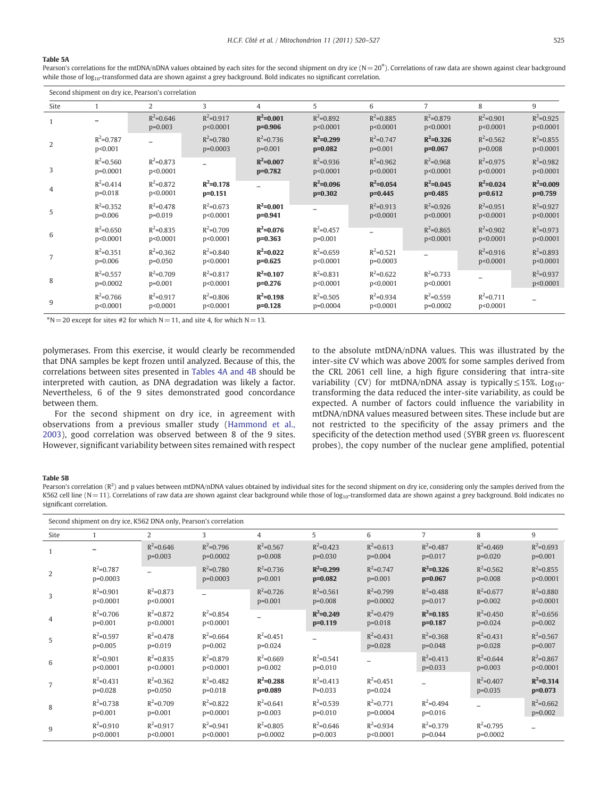#### <span id="page-5-0"></span>Table 5A

Pearson's correlations for the mtDNA/nDNA values obtained by each sites for the second shipment on dry ice  $(N=20<sup>*</sup>)$ . Correlations of raw data are shown against clear background while those of log<sub>10</sub>-transformed data are shown against a grey background. Bold indicates no significant correlation.

|                | Second shipment on dry ice, Pearson's correlation |                            |                             |                            |                            |                             |                             |                            |                            |  |  |
|----------------|---------------------------------------------------|----------------------------|-----------------------------|----------------------------|----------------------------|-----------------------------|-----------------------------|----------------------------|----------------------------|--|--|
| Site           |                                                   | 2                          | 3                           | 4                          | 5                          | 6                           | $\overline{7}$              | 8                          | 9                          |  |  |
|                |                                                   | $R^2 = 0.646$<br>$p=0.003$ | $R^2 = 0.917$<br>p<0.0001   | $R^2 = 0.001$<br>$p=0.906$ | $R^2 = 0.892$<br>p<0.0001  | $R^2 = 0.885$<br>p<0.0001   | $R^2 = 0.879$<br>p<0.0001   | $R^2 = 0.901$<br>p<0.0001  | $R^2 = 0.925$<br>p<0.0001  |  |  |
| $\overline{2}$ | $R^2 = 0.787$<br>p<0.001                          |                            | $R^2 = 0.780$<br>$p=0.0003$ | $R^2 = 0.736$<br>$p=0.001$ | $R^2 = 0.299$<br>$p=0.082$ | $R^2 = 0.747$<br>$p=0.001$  | $R^2 = 0.326$<br>$p=0.067$  | $R^2 = 0.562$<br>$p=0.008$ | $R^2 = 0.855$<br>p<0.0001  |  |  |
| 3              | $R^2 = 0.560$<br>$p=0.0001$                       | $R^2 = 0.873$<br>p<0.0001  |                             | $R^2 = 0.007$<br>$p=0.782$ | $R^2 = 0.936$<br>p<0.0001  | $R^2 = 0.962$<br>p<0.0001   | $R^2 = 0.968$<br>p<0.0001   | $R^2 = 0.975$<br>p<0.0001  | $R^2 = 0.982$<br>p<0.0001  |  |  |
| 4              | $R^2 = 0.414$<br>$p=0.018$                        | $R^2 = 0.872$<br>p<0.0001  | $R^2 = 0.178$<br>$p=0.151$  |                            | $R^2$ =0.096<br>$p=0.302$  | $R^2 = 0.054$<br>$p=0.445$  | $R^2 = 0.045$<br>$p=0.485$  | $R^2 = 0.024$<br>$p=0.612$ | $R^2 = 0.009$<br>$p=0.759$ |  |  |
| 5              | $R^2 = 0.352$<br>$p=0.006$                        | $R^2 = 0.478$<br>$p=0.019$ | $R^2 = 0.673$<br>p<0.0001   | $R^2 = 0.001$<br>$p=0.941$ |                            | $R^2 = 0.913$<br>p<0.0001   | $R^2 = 0.926$<br>p<0.0001   | $R^2 = 0.951$<br>p<0.0001  | $R^2 = 0.927$<br>p<0.0001  |  |  |
| 6              | $R^2 = 0.650$<br>p<0.0001                         | $R^2 = 0.835$<br>p<0.0001  | $R^2 = 0.709$<br>p<0.0001   | $R^2 = 0.076$<br>$p=0.363$ | $R^2 = 0.457$<br>$p=0.001$ |                             | $R^2 = 0.865$<br>p<0.0001   | $R^2 = 0.902$<br>p<0.0001  | $R^2 = 0.973$<br>p<0.0001  |  |  |
| 7              | $R^2 = 0.351$<br>$p=0.006$                        | $R^2 = 0.362$<br>$p=0.050$ | $R^2 = 0.840$<br>p<0.0001   | $R^2 = 0.022$<br>$p=0.625$ | $R^2 = 0.659$<br>p<0.0001  | $R^2 = 0.521$<br>$p=0.0003$ |                             | $R^2 = 0.916$<br>p<0.0001  | $R^2 = 0.893$<br>p<0.0001  |  |  |
| 8              | $R^2 = 0.557$<br>p=0.0002                         | $R^2 = 0.709$<br>$p=0.001$ | $R^2 = 0.817$<br>p<0.0001   | $R^2 = 0.107$<br>$p=0.276$ | $R^2 = 0.831$<br>p<0.0001  | $R^2 = 0.622$<br>p<0.0001   | $R^2 = 0.733$<br>p<0.0001   |                            | $R^2 = 0.937$<br>p<0.0001  |  |  |
| 9              | $R^2 = 0.766$<br>p<0.0001                         | $R^2 = 0.917$<br>p<0.0001  | $R^2 = 0.806$<br>p<0.0001   | $R^2 = 0.198$<br>$p=0.128$ | $R^2 = 0.505$<br>p=0.0004  | $R^2 = 0.934$<br>p<0.0001   | $R^2 = 0.559$<br>$p=0.0002$ | $R^2 = 0.711$<br>p<0.0001  | $\qquad \qquad$            |  |  |

 $>N= 20$  except for sites #2 for which N = 11, and site 4, for which N = 13.

polymerases. From this exercise, it would clearly be recommended that DNA samples be kept frozen until analyzed. Because of this, the correlations between sites presented in [Tables 4A and 4B](#page-4-0) should be interpreted with caution, as DNA degradation was likely a factor. Nevertheless, 6 of the 9 sites demonstrated good concordance between them.

For the second shipment on dry ice, in agreement with observations from a previous smaller study ([Hammond et al.,](#page-7-0) [2003](#page-7-0)), good correlation was observed between 8 of the 9 sites. However, significant variability between sites remained with respect to the absolute mtDNA/nDNA values. This was illustrated by the inter-site CV which was above 200% for some samples derived from the CRL 2061 cell line, a high figure considering that intra-site variability (CV) for mtDNA/nDNA assay is typically  $\leq 15\%$ . Log<sub>10</sub>transforming the data reduced the inter-site variability, as could be expected. A number of factors could influence the variability in mtDNA/nDNA values measured between sites. These include but are not restricted to the specificity of the assay primers and the specificity of the detection method used (SYBR green vs. fluorescent probes), the copy number of the nuclear gene amplified, potential

#### Table 5B

Pearson's correlation ( $R^2$ ) and p values between mtDNA/nDNA values obtained by individual sites for the second shipment on dry ice, considering only the samples derived from the K562 cell line (N=11). Correlations of raw data are shown against clear background while those of log<sub>10</sub>-transformed data are shown against a grey background. Bold indicates no significant correlation.

|                | Second shipment on dry ice, K562 DNA only, Pearson's correlation |                            |                             |                             |                            |                             |                            |                            |                            |  |
|----------------|------------------------------------------------------------------|----------------------------|-----------------------------|-----------------------------|----------------------------|-----------------------------|----------------------------|----------------------------|----------------------------|--|
| Site           |                                                                  | 2                          | 3                           | 4                           | 5                          | 6                           | $\overline{7}$             | 8                          | 9                          |  |
| $\mathbf{1}$   |                                                                  | $R^2 = 0.646$<br>$p=0.003$ | $R^2 = 0.796$<br>p=0.0002   | $R^2 = 0.567$<br>$p=0.008$  | $R^2 = 0.423$<br>$p=0.030$ | $R^2 = 0.613$<br>$p=0.004$  | $R^2 = 0.487$<br>$p=0.017$ | $R^2 = 0.469$<br>$p=0.020$ | $R^2 = 0.693$<br>$p=0.001$ |  |
| $\overline{2}$ | $R^2 = 0.787$<br>$p=0.0003$                                      |                            | $R^2 = 0.780$<br>$p=0.0003$ | $R^2$ =0.736<br>$p=0.001$   | $R^2 = 0.299$<br>$p=0.082$ | $R^2 = 0.747$<br>$p=0.001$  | $R^2 = 0.326$<br>$p=0.067$ | $R^2$ =0.562<br>$p=0.008$  | $R^2 = 0.855$<br>p<0.0001  |  |
| 3              | $R^2 = 0.901$<br>p<0.0001                                        | $R^2 = 0.873$<br>p<0.0001  |                             | $R^2 = 0.726$<br>$p=0.001$  | $R^2 = 0.561$<br>$p=0.008$ | $R^2 = 0.799$<br>$p=0.0002$ | $R^2 = 0.488$<br>$p=0.017$ | $R^2$ =0.677<br>$p=0.002$  | $R^2 = 0.880$<br>p<0.0001  |  |
| $\overline{4}$ | $R^2 = 0.706$<br>$p=0.001$                                       | $R^2 = 0.872$<br>p<0.0001  | $R^2 = 0.854$<br>p<0.0001   |                             | $R^2 = 0.249$<br>$p=0.119$ | $R^2 = 0.479$<br>$p=0.018$  | $R^2 = 0.185$<br>$p=0.187$ | $R^2$ =0.450<br>$p=0.024$  | $R^2 = 0.656$<br>$p=0.002$ |  |
| 5              | $R^2 = 0.597$<br>$p=0.005$                                       | $R^2 = 0.478$<br>$p=0.019$ | $R^2 = 0.664$<br>$p=0.002$  | $R^2 = 0.451$<br>$p=0.024$  |                            | $R^2 = 0.431$<br>$p=0.028$  | $R^2 = 0.368$<br>$p=0.048$ | $R^2 = 0.431$<br>$p=0.028$ | $R^2 = 0.567$<br>$p=0.007$ |  |
| 6              | $R^2 = 0.901$<br>p<0.0001                                        | $R^2$ =0.835<br>p<0.0001   | $R^2$ =0.879<br>p<0.0001    | $R^2$ =0.669<br>$p=0.002$   | $R^2$ =0.541<br>$p=0.010$  |                             | $R^2 = 0.413$<br>$p=0.033$ | $R^2$ =0.644<br>$p=0.003$  | $R^2$ =0.867<br>p<0.0001   |  |
| $\overline{7}$ | $R^2 = 0.431$<br>$p=0.028$                                       | $R^2 = 0.362$<br>$p=0.050$ | $R^2 = 0.482$<br>$p=0.018$  | $R^2 = 0.288$<br>$p=0.089$  | $R^2 = 0.413$<br>$P=0.033$ | $R^2 = 0.451$<br>$p=0.024$  |                            | $R^2 = 0.407$<br>$p=0.035$ | $R^2 = 0.314$<br>$p=0.073$ |  |
| 8              | $R^2 = 0.738$<br>$p=0.001$                                       | $R^2 = 0.709$<br>$p=0.001$ | $R^2 = 0.822$<br>p=0.0001   | $R^2 = 0.641$<br>$p=0.003$  | $R^2 = 0.539$<br>$p=0.010$ | $R^2 = 0.771$<br>p=0.0004   | $R^2 = 0.494$<br>$p=0.016$ |                            | $R^2 = 0.662$<br>$p=0.002$ |  |
| 9              | $R^2 = 0.910$<br>p<0.0001                                        | $R^2 = 0.917$<br>p<0.0001  | $R^2 = 0.941$<br>p<0.0001   | $R^2 = 0.805$<br>$p=0.0002$ | $R^2 = 0.646$<br>$p=0.003$ | $R^2 = 0.934$<br>p<0.0001   | $R^2$ =0.379<br>$p=0.044$  | $R^2$ =0.795<br>$p=0.0002$ |                            |  |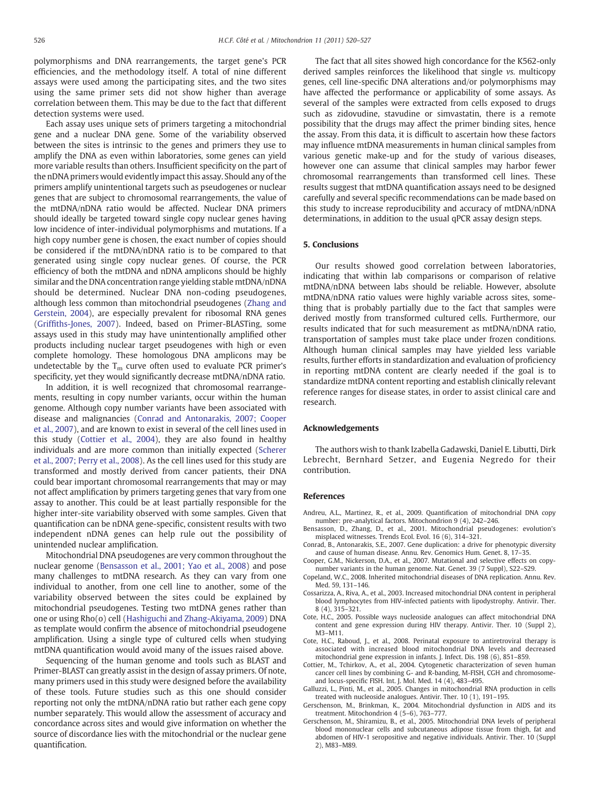<span id="page-6-0"></span>polymorphisms and DNA rearrangements, the target gene's PCR efficiencies, and the methodology itself. A total of nine different assays were used among the participating sites, and the two sites using the same primer sets did not show higher than average correlation between them. This may be due to the fact that different detection systems were used.

Each assay uses unique sets of primers targeting a mitochondrial gene and a nuclear DNA gene. Some of the variability observed between the sites is intrinsic to the genes and primers they use to amplify the DNA as even within laboratories, some genes can yield more variable results than others. Insufficient specificity on the part of the nDNA primers would evidently impact this assay. Should any of the primers amplify unintentional targets such as pseudogenes or nuclear genes that are subject to chromosomal rearrangements, the value of the mtDNA/nDNA ratio would be affected. Nuclear DNA primers should ideally be targeted toward single copy nuclear genes having low incidence of inter-individual polymorphisms and mutations. If a high copy number gene is chosen, the exact number of copies should be considered if the mtDNA/nDNA ratio is to be compared to that generated using single copy nuclear genes. Of course, the PCR efficiency of both the mtDNA and nDNA amplicons should be highly similar and the DNA concentration range yielding stable mtDNA/nDNA should be determined. Nuclear DNA non-coding pseudogenes, although less common than mitochondrial pseudogenes [\(Zhang and](#page-7-0) [Gerstein, 2004](#page-7-0)), are especially prevalent for ribosomal RNA genes (Griffi[ths-Jones, 2007\)](#page-7-0). Indeed, based on Primer-BLASTing, some assays used in this study may have unintentionally amplified other products including nuclear target pseudogenes with high or even complete homology. These homologous DNA amplicons may be undetectable by the  $T_m$  curve often used to evaluate PCR primer's specificity, yet they would significantly decrease mtDNA/nDNA ratio.

In addition, it is well recognized that chromosomal rearrangements, resulting in copy number variants, occur within the human genome. Although copy number variants have been associated with disease and malignancies (Conrad and Antonarakis, 2007; Cooper et al., 2007), and are known to exist in several of the cell lines used in this study (Cottier et al., 2004), they are also found in healthy individuals and are more common than initially expected [\(Scherer](#page-7-0) [et al., 2007; Perry et al., 2008\)](#page-7-0). As the cell lines used for this study are transformed and mostly derived from cancer patients, their DNA could bear important chromosomal rearrangements that may or may not affect amplification by primers targeting genes that vary from one assay to another. This could be at least partially responsible for the higher inter-site variability observed with some samples. Given that quantification can be nDNA gene-specific, consistent results with two independent nDNA genes can help rule out the possibility of unintended nuclear amplification.

Mitochondrial DNA pseudogenes are very common throughout the nuclear genome (Bensasson et al., 2001; Yao et al., 2008) and pose many challenges to mtDNA research. As they can vary from one individual to another, from one cell line to another, some of the variability observed between the sites could be explained by mitochondrial pseudogenes. Testing two mtDNA genes rather than one or using Rho(o) cell ([Hashiguchi and Zhang-Akiyama, 2009\)](#page-7-0) DNA as template would confirm the absence of mitochondrial pseudogene amplification. Using a single type of cultured cells when studying mtDNA quantification would avoid many of the issues raised above.

Sequencing of the human genome and tools such as BLAST and Primer-BLAST can greatly assist in the design of assay primers. Of note, many primers used in this study were designed before the availability of these tools. Future studies such as this one should consider reporting not only the mtDNA/nDNA ratio but rather each gene copy number separately. This would allow the assessment of accuracy and concordance across sites and would give information on whether the source of discordance lies with the mitochondrial or the nuclear gene quantification.

The fact that all sites showed high concordance for the K562-only derived samples reinforces the likelihood that single vs. multicopy genes, cell line-specific DNA alterations and/or polymorphisms may have affected the performance or applicability of some assays. As several of the samples were extracted from cells exposed to drugs such as zidovudine, stavudine or simvastatin, there is a remote possibility that the drugs may affect the primer binding sites, hence the assay. From this data, it is difficult to ascertain how these factors may influence mtDNA measurements in human clinical samples from various genetic make-up and for the study of various diseases, however one can assume that clinical samples may harbor fewer chromosomal rearrangements than transformed cell lines. These results suggest that mtDNA quantification assays need to be designed carefully and several specific recommendations can be made based on this study to increase reproducibility and accuracy of mtDNA/nDNA determinations, in addition to the usual qPCR assay design steps.

#### 5. Conclusions

Our results showed good correlation between laboratories, indicating that within lab comparisons or comparison of relative mtDNA/nDNA between labs should be reliable. However, absolute mtDNA/nDNA ratio values were highly variable across sites, something that is probably partially due to the fact that samples were derived mostly from transformed cultured cells. Furthermore, our results indicated that for such measurement as mtDNA/nDNA ratio, transportation of samples must take place under frozen conditions. Although human clinical samples may have yielded less variable results, further efforts in standardization and evaluation of proficiency in reporting mtDNA content are clearly needed if the goal is to standardize mtDNA content reporting and establish clinically relevant reference ranges for disease states, in order to assist clinical care and research.

#### Acknowledgements

The authors wish to thank Izabella Gadawski, Daniel E. Libutti, Dirk Lebrecht, Bernhard Setzer, and Eugenia Negredo for their contribution.

#### References

- Andreu, A.L., Martinez, R., et al., 2009. Quantification of mitochondrial DNA copy number: pre-analytical factors. Mitochondrion 9 (4), 242–246.
- Bensasson, D., Zhang, D., et al., 2001. Mitochondrial pseudogenes: evolution's misplaced witnesses. Trends Ecol. Evol. 16 (6), 314–321.
- Conrad, B., Antonarakis, S.E., 2007. Gene duplication: a drive for phenotypic diversity and cause of human disease. Annu. Rev. Genomics Hum. Genet. 8, 17–35.
- Cooper, G.M., Nickerson, D.A., et al., 2007. Mutational and selective effects on copynumber variants in the human genome. Nat. Genet. 39 (7 Suppl), S22–S29.
- Copeland, W.C., 2008. Inherited mitochondrial diseases of DNA replication. Annu. Rev. Med. 59, 131–146.
- Cossarizza, A., Riva, A., et al., 2003. Increased mitochondrial DNA content in peripheral blood lymphocytes from HIV-infected patients with lipodystrophy. Antivir. Ther. 8 (4), 315–321.
- Cote, H.C., 2005. Possible ways nucleoside analogues can affect mitochondrial DNA content and gene expression during HIV therapy. Antivir. Ther. 10 (Suppl 2), M3–M11.
- Cote, H.C., Raboud, J., et al., 2008. Perinatal exposure to antiretroviral therapy is associated with increased blood mitochondrial DNA levels and decreased mitochondrial gene expression in infants. J. Infect. Dis. 198 (6), 851–859.
- Cottier, M., Tchirkov, A., et al., 2004. Cytogenetic characterization of seven human cancer cell lines by combining G- and R-banding, M-FISH, CGH and chromosomeand locus-specific FISH. Int. J. Mol. Med. 14 (4), 483–495.
- Galluzzi, L., Pinti, M., et al., 2005. Changes in mitochondrial RNA production in cells treated with nucleoside analogues. Antivir. Ther. 10 (1), 191–195.
- Gerschenson, M., Brinkman, K., 2004. Mitochondrial dysfunction in AIDS and its treatment. Mitochondrion 4 (5–6), 763–777.
- Gerschenson, M., Shiramizu, B., et al., 2005. Mitochondrial DNA levels of peripheral blood mononuclear cells and subcutaneous adipose tissue from thigh, fat and abdomen of HIV-1 seropositive and negative individuals. Antivir. Ther. 10 (Suppl 2), M83–M89.